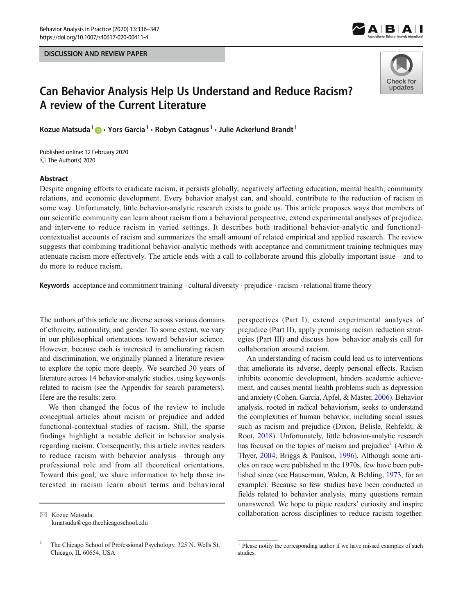



# Can Behavior Analysis Help Us Understand and Reduce Racism? A review of the Current Literature

Kozue Matsuda<sup>1</sup>  $\bigcirc$  · Yors Garcia<sup>1</sup> · Robyn Catagnus<sup>1</sup> · Julie Ackerlund Brandt<sup>1</sup>

C The Author(s) 2020 Published online: 12 February 2020

#### Abstract

Despite ongoing efforts to eradicate racism, it persists globally, negatively affecting education, mental health, community relations, and economic development. Every behavior analyst can, and should, contribute to the reduction of racism in some way. Unfortunately, little behavior-analytic research exists to guide us. This article proposes ways that members of our scientific community can learn about racism from a behavioral perspective, extend experimental analyses of prejudice, and intervene to reduce racism in varied settings. It describes both traditional behavior-analytic and functionalcontextualist accounts of racism and summarizes the small amount of related empirical and applied research. The review suggests that combining traditional behavior-analytic methods with acceptance and commitment training techniques may attenuate racism more effectively. The article ends with a call to collaborate around this globally important issue—and to do more to reduce racism.

Keywords acceptance and commitment training  $\cdot$  cultural diversity  $\cdot$  prejudice  $\cdot$  racism  $\cdot$  relational frame theory

The authors of this article are diverse across various domains of ethnicity, nationality, and gender. To some extent, we vary in our philosophical orientations toward behavior science. However, because each is interested in ameliorating racism and discrimination, we originally planned a literature review to explore the topic more deeply. We searched 30 years of literature across 14 behavior-analytic studies, using keywords related to racism (see the Appendix for search parameters). Here are the results: zero.

We then changed the focus of the review to include conceptual articles about racism or prejudice and added functional-contextual studies of racism. Still, the sparse findings highlight a notable deficit in behavior analysis regarding racism. Consequently, this article invites readers to reduce racism with behavior analysis—through any professional role and from all theoretical orientations. Toward this goal, we share information to help those interested in racism learn about terms and behavioral

perspectives (Part I), extend experimental analyses of prejudice (Part II), apply promising racism reduction strategies (Part III) and discuss how behavior analysis call for collaboration around racism.

An understanding of racism could lead us to interventions that ameliorate its adverse, deeply personal effects. Racism inhibits economic development, hinders academic achievement, and causes mental health problems such as depression and anxiety (Cohen, Garcia, Apfel, & Master, [2006](#page-9-0)). Behavior analysis, rooted in radical behaviorism, seeks to understand the complexities of human behavior, including social issues such as racism and prejudice (Dixon, Belisle, Rehfeldt, & Root, [2018\)](#page-9-0). Unfortunately, little behavior-analytic research has focused on the topics of racism and prejudice<sup>1</sup> (Arhin  $\&$ Thyer, [2004](#page-9-0); Briggs & Paulson, [1996\)](#page-9-0). Although some articles on race were published in the 1970s, few have been published since (see Hauserman, Walen, & Behling, [1973](#page-10-0), for an example). Because so few studies have been conducted in fields related to behavior analysis, many questions remain unanswered. We hope to pique readers' curiosity and inspire collaboration across disciplines to reduce racism together.

 $\boxtimes$  Kozue Matsuda [kmatsuda@ego.thechicagoschool.edu](mailto:kmatsuda@ego.thechicagoschool.edu)

<sup>1</sup> The Chicago School of Professional Psychology, 325 N. Wells St, Chicago, IL 60654, USA

<sup>&</sup>lt;sup>1</sup> Please notify the corresponding author if we have missed examples of such studies.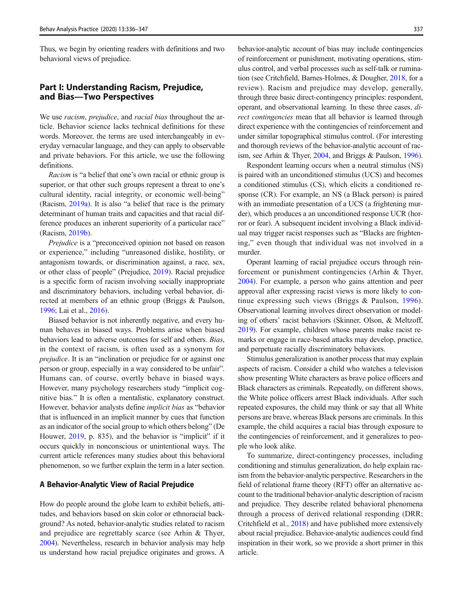Thus, we begin by orienting readers with definitions and two behavioral views of prejudice.

# Part I: Understanding Racism, Prejudice, and Bias—Two Perspectives

We use *racism, prejudice,* and *racial bias* throughout the article. Behavior science lacks technical definitions for these words. Moreover, the terms are used interchangeably in everyday vernacular language, and they can apply to observable and private behaviors. For this article, we use the following definitions.

Racism is "a belief that one's own racial or ethnic group is superior, or that other such groups represent a threat to one's cultural identity, racial integrity, or economic well-being" (Racism, [2019a\)](#page-11-0). It is also "a belief that race is the primary determinant of human traits and capacities and that racial difference produces an inherent superiority of a particular race" (Racism, [2019b\)](#page-11-0).

Prejudice is a "preconceived opinion not based on reason or experience," including "unreasoned dislike, hostility, or antagonism towards, or discrimination against, a race, sex, or other class of people" (Prejudice, [2019\)](#page-11-0). Racial prejudice is a specific form of racism involving socially inappropriate and discriminatory behaviors, including verbal behavior, directed at members of an ethnic group (Briggs & Paulson, [1996;](#page-9-0) Lai et al., [2016\)](#page-10-0).

Biased behavior is not inherently negative, and every human behaves in biased ways. Problems arise when biased behaviors lead to adverse outcomes for self and others. Bias, in the context of racism, is often used as a synonym for prejudice. It is an "inclination or prejudice for or against one person or group, especially in a way considered to be unfair". Humans can, of course, overtly behave in biased ways. However, many psychology researchers study "implicit cognitive bias." It is often a mentalistic, explanatory construct. However, behavior analysts define implicit bias as "behavior that is influenced in an implicit manner by cues that function as an indicator of the social group to which others belong" (De Houwer, [2019](#page-9-0), p. 835), and the behavior is "implicit" if it occurs quickly in nonconscious or unintentional ways. The current article references many studies about this behavioral phenomenon, so we further explain the term in a later section.

# A Behavior-Analytic View of Racial Prejudice

How do people around the globe learn to exhibit beliefs, attitudes, and behaviors based on skin color or ethnoracial background? As noted, behavior-analytic studies related to racism and prejudice are regrettably scarce (see Arhin & Thyer, [2004\)](#page-9-0). Nevertheless, research in behavior analysis may help us understand how racial prejudice originates and grows. A behavior-analytic account of bias may include contingencies of reinforcement or punishment, motivating operations, stimulus control, and verbal processes such as self-talk or rumination (see Critchfield, Barnes-Holmes, & Dougher, [2018](#page-9-0), for a review). Racism and prejudice may develop, generally, through three basic direct-contingency principles: respondent, operant, and observational learning. In these three cases, direct contingencies mean that all behavior is learned through direct experience with the contingencies of reinforcement and under similar topographical stimulus control. (For interesting and thorough reviews of the behavior-analytic account of racism, see Arhin & Thyer, [2004,](#page-9-0) and Briggs & Paulson, [1996\)](#page-9-0).

Respondent learning occurs when a neutral stimulus (NS) is paired with an unconditioned stimulus (UCS) and becomes a conditioned stimulus (CS), which elicits a conditioned response (CR). For example, an NS (a Black person) is paired with an immediate presentation of a UCS (a frightening murder), which produces a an unconditioned response UCR (horror or fear). A subsequent incident involving a Black individual may trigger racist responses such as "Blacks are frightening," even though that individual was not involved in a murder.

Operant learning of racial prejudice occurs through reinforcement or punishment contingencies (Arhin & Thyer, [2004\)](#page-9-0). For example, a person who gains attention and peer approval after expressing racist views is more likely to continue expressing such views (Briggs & Paulson, [1996](#page-9-0)). Observational learning involves direct observation or modeling of others' racist behaviors (Skinner, Olson, & Meltzoff, [2019\)](#page-11-0). For example, children whose parents make racist remarks or engage in race-based attacks may develop, practice, and perpetuate racially discriminatory behaviors.

Stimulus generalization is another process that may explain aspects of racism. Consider a child who watches a television show presenting White characters as brave police officers and Black characters as criminals. Repeatedly, on different shows, the White police officers arrest Black individuals. After such repeated exposures, the child may think or say that all White persons are brave, whereas Black persons are criminals. In this example, the child acquires a racial bias through exposure to the contingencies of reinforcement, and it generalizes to people who look alike.

To summarize, direct-contingency processes, including conditioning and stimulus generalization, do help explain racism from the behavior-analytic perspective. Researchers in the field of relational frame theory (RFT) offer an alternative account to the traditional behavior-analytic description of racism and prejudice. They describe related behavioral phenomena through a process of derived relational responding (DRR; Critchfield et al., [2018\)](#page-9-0) and have published more extensively about racial prejudice. Behavior-analytic audiences could find inspiration in their work, so we provide a short primer in this article.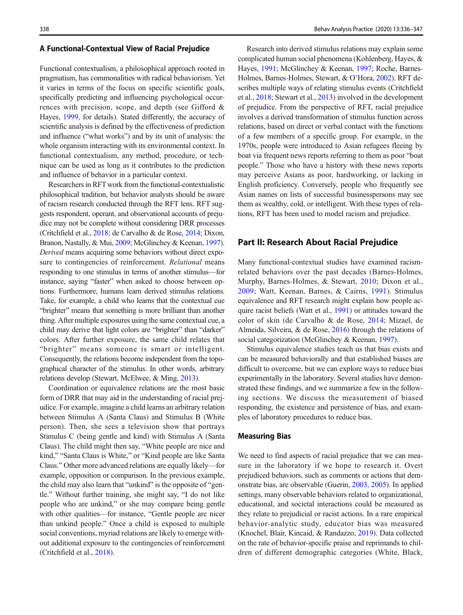## A Functional-Contextual View of Racial Prejudice

Functional contextualism, a philosophical approach rooted in pragmatism, has commonalities with radical behaviorism. Yet it varies in terms of the focus on specific scientific goals, specifically predicting and influencing psychological occurrences with precision, scope, and depth (see Gifford & Hayes, [1999,](#page-10-0) for details). Stated differently, the accuracy of scientific analysis is defined by the effectiveness of prediction and influence ("what works") and by its unit of analysis: the whole organism interacting with its environmental context. In functional contextualism, any method, procedure, or technique can be used as long as it contributes to the prediction and influence of behavior in a particular context.

Researchers in RFTwork from the functional-contextualistic philosophical tradition, but behavior analysts should be aware of racism research conducted through the RFT lens. RFT suggests respondent, operant, and observational accounts of prejudice may not be complete without considering DRR processes (Critchfield et al., [2018](#page-9-0); de Carvalho & de Rose, [2014;](#page-9-0) Dixon, Branon, Nastally, & Mui, [2009](#page-9-0); McGlinchey & Keenan, [1997\)](#page-10-0). Derived means acquiring some behaviors without direct exposure to contingencies of reinforcement. Relational means responding to one stimulus in terms of another stimulus—for instance, saying "faster" when asked to choose between options. Furthermore, humans learn derived stimulus relations. Take, for example, a child who learns that the contextual cue "brighter" means that something is more brilliant than another thing. After multiple exposures using the same contextual cue, a child may derive that light colors are "brighter" than "darker" colors. After further exposure, the same child relates that "brighter" means someone is smart or intelligent. Consequently, the relations become independent from the topographical character of the stimulus. In other words, arbitrary relations develop (Stewart, McElwee, & Ming, [2013\)](#page-11-0).

Coordination or equivalence relations are the most basic form of DRR that may aid in the understanding of racial prejudice. For example, imagine a child learns an arbitrary relation between Stimulus A (Santa Claus) and Stimulus B (White person). Then, she sees a television show that portrays Stimulus C (being gentle and kind) with Stimulus A (Santa Claus). The child might then say, "White people are nice and kind," "Santa Claus is White," or "Kind people are like Santa Claus." Other more advanced relations are equally likely—for example, opposition or comparison. In the previous example, the child may also learn that "unkind" is the opposite of "gentle." Without further training, she might say, "I do not like people who are unkind," or she may compare being gentle with other qualities—for instance, "Gentle people are nicer than unkind people." Once a child is exposed to multiple social conventions, myriad relations are likely to emerge without additional exposure to the contingencies of reinforcement (Critchfield et al., [2018\)](#page-9-0).

Research into derived stimulus relations may explain some complicated human social phenomena (Kohlenberg, Hayes, & Hayes, [1991](#page-10-0); McGlinchey & Keenan, [1997](#page-10-0); Roche, Barnes-Holmes, Barnes-Holmes, Stewart, & O'Hora, [2002\)](#page-11-0). RFT describes multiple ways of relating stimulus events (Critchfield et al., [2018;](#page-9-0) Stewart et al., [2013](#page-11-0)) involved in the development of prejudice. From the perspective of RFT, racial prejudice involves a derived transformation of stimulus function across relations, based on direct or verbal contact with the functions of a few members of a specific group. For example, in the 1970s, people were introduced to Asian refugees fleeing by boat via frequent news reports referring to them as poor "boat people." Those who have a history with these news reports may perceive Asians as poor, hardworking, or lacking in English proficiency. Conversely, people who frequently see Asian names on lists of successful businesspersons may see them as wealthy, cold, or intelligent. With these types of relations, RFT has been used to model racism and prejudice.

## Part II: Research About Racial Prejudice

Many functional-contextual studies have examined racismrelated behaviors over the past decades (Barnes-Holmes, Murphy, Barnes-Holmes, & Stewart, [2010](#page-9-0); Dixon et al., [2009;](#page-9-0) Watt, Keenan, Barnes, & Cairns, [1991\)](#page-11-0). Stimulus equivalence and RFT research might explain how people acquire racist beliefs (Watt et al., [1991\)](#page-11-0) or attitudes toward the color of skin (de Carvalho & de Rose, [2014;](#page-9-0) Mizael, de Almeida, Silveira, & de Rose, [2016\)](#page-10-0) through the relations of social categorization (McGlinchey & Keenan, [1997](#page-10-0)).

Stimulus equivalence studies teach us that bias exists and can be measured behaviorally and that established biases are difficult to overcome, but we can explore ways to reduce bias experimentally in the laboratory. Several studies have demonstrated these findings, and we summarize a few in the following sections. We discuss the measurement of biased responding, the existence and persistence of bias, and examples of laboratory procedures to reduce bias.

#### Measuring Bias

We need to find aspects of racial prejudice that we can measure in the laboratory if we hope to research it. Overt prejudiced behaviors, such as comments or actions that demonstrate bias, are observable (Guerin, [2003,](#page-10-0) [2005](#page-10-0)). In applied settings, many observable behaviors related to organizational, educational, and societal interactions could be measured as they relate to prejudicial or racist actions. In a rare empirical behavior-analytic study, educator bias was measured (Knochel, Blair, Kincaid, & Randazzo, [2019](#page-10-0)). Data collected on the rate of behavior-specific praise and reprimands to children of different demographic categories (White, Black,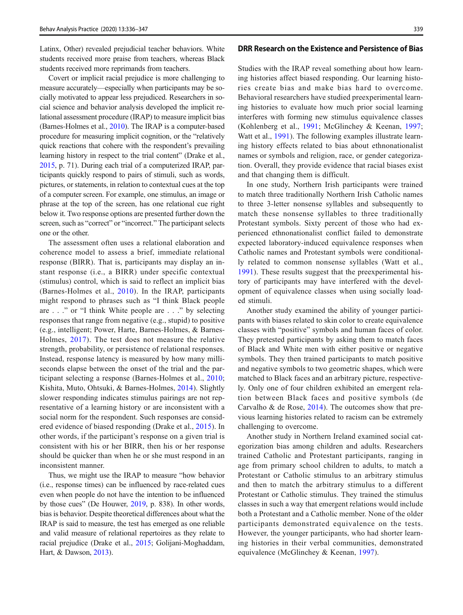Latinx, Other) revealed prejudicial teacher behaviors. White students received more praise from teachers, whereas Black students received more reprimands from teachers.

Covert or implicit racial prejudice is more challenging to measure accurately—especially when participants may be socially motivated to appear less prejudiced. Researchers in social science and behavior analysis developed the implicit relational assessment procedure (IRAP) to measure implicit bias (Barnes-Holmes et al., [2010](#page-9-0)). The IRAP is a computer-based procedure for measuring implicit cognition, or the "relatively quick reactions that cohere with the respondent's prevailing learning history in respect to the trial content" (Drake et al., [2015,](#page-9-0) p. 71). During each trial of a computerized IRAP, participants quickly respond to pairs of stimuli, such as words, pictures, or statements, in relation to contextual cues at the top of a computer screen. For example, one stimulus, an image or phrase at the top of the screen, has one relational cue right below it. Two response options are presented further down the screen, such as "correct" or "incorrect." The participant selects one or the other.

The assessment often uses a relational elaboration and coherence model to assess a brief, immediate relational response (BIRR). That is, participants may display an instant response (i.e., a BIRR) under specific contextual (stimulus) control, which is said to reflect an implicit bias (Barnes-Holmes et al., [2010](#page-9-0)). In the IRAP, participants might respond to phrases such as "I think Black people are . . ." or "I think White people are . . ." by selecting responses that range from negative (e.g., stupid) to positive (e.g., intelligent; Power, Harte, Barnes-Holmes, & Barnes-Holmes, [2017](#page-11-0)). The test does not measure the relative strength, probability, or persistence of relational responses. Instead, response latency is measured by how many milliseconds elapse between the onset of the trial and the participant selecting a response (Barnes-Holmes et al., [2010](#page-9-0); Kishita, Muto, Ohtsuki, & Barnes-Holmes, [2014\)](#page-10-0). Slightly slower responding indicates stimulus pairings are not representative of a learning history or are inconsistent with a social norm for the respondent. Such responses are considered evidence of biased responding (Drake et al., [2015](#page-9-0)). In other words, if the participant's response on a given trial is consistent with his or her BIRR, then his or her response should be quicker than when he or she must respond in an inconsistent manner.

Thus, we might use the IRAP to measure "how behavior (i.e., response times) can be influenced by race-related cues even when people do not have the intention to be influenced by those cues" (De Houwer, [2019,](#page-9-0) p. 838). In other words, bias is behavior. Despite theoretical differences about what the IRAP is said to measure, the test has emerged as one reliable and valid measure of relational repertoires as they relate to racial prejudice (Drake et al., [2015;](#page-9-0) Golijani-Moghaddam, Hart, & Dawson, [2013](#page-10-0)).

# DRR Research on the Existence and Persistence of Bias

Studies with the IRAP reveal something about how learning histories affect biased responding. Our learning histories create bias and make bias hard to overcome. Behavioral researchers have studied preexperimental learning histories to evaluate how much prior social learning interferes with forming new stimulus equivalence classes (Kohlenberg et al., [1991;](#page-10-0) McGlinchey & Keenan, [1997;](#page-10-0) Watt et al., [1991](#page-11-0)). The following examples illustrate learning history effects related to bias about ethnonationalist names or symbols and religion, race, or gender categorization. Overall, they provide evidence that racial biases exist and that changing them is difficult.

In one study, Northern Irish participants were trained to match three traditionally Northern Irish Catholic names to three 3-letter nonsense syllables and subsequently to match these nonsense syllables to three traditionally Protestant symbols. Sixty percent of those who had experienced ethnonationalist conflict failed to demonstrate expected laboratory-induced equivalence responses when Catholic names and Protestant symbols were conditionally related to common nonsense syllables (Watt et al., [1991](#page-11-0)). These results suggest that the preexperimental history of participants may have interfered with the development of equivalence classes when using socially loaded stimuli.

Another study examined the ability of younger participants with biases related to skin color to create equivalence classes with "positive" symbols and human faces of color. They pretested participants by asking them to match faces of Black and White men with either positive or negative symbols. They then trained participants to match positive and negative symbols to two geometric shapes, which were matched to Black faces and an arbitrary picture, respectively. Only one of four children exhibited an emergent relation between Black faces and positive symbols (de Carvalho & de Rose, [2014](#page-9-0)). The outcomes show that previous learning histories related to racism can be extremely challenging to overcome.

Another study in Northern Ireland examined social categorization bias among children and adults. Researchers trained Catholic and Protestant participants, ranging in age from primary school children to adults, to match a Protestant or Catholic stimulus to an arbitrary stimulus and then to match the arbitrary stimulus to a different Protestant or Catholic stimulus. They trained the stimulus classes in such a way that emergent relations would include both a Protestant and a Catholic member. None of the older participants demonstrated equivalence on the tests. However, the younger participants, who had shorter learning histories in their verbal communities, demonstrated equivalence (McGlinchey & Keenan, [1997\)](#page-10-0).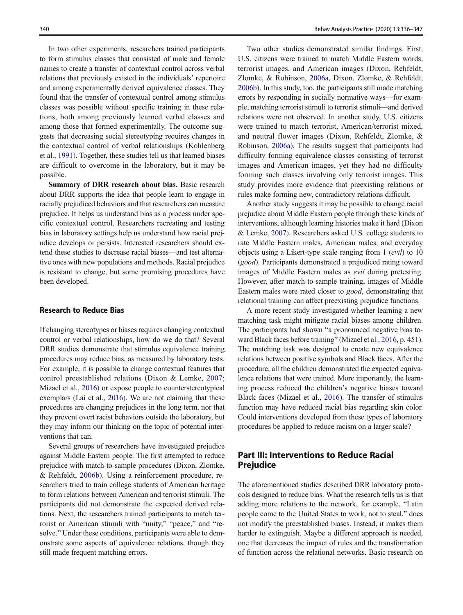In two other experiments, researchers trained participants to form stimulus classes that consisted of male and female names to create a transfer of contextual control across verbal relations that previously existed in the individuals' repertoire and among experimentally derived equivalence classes. They found that the transfer of contextual control among stimulus classes was possible without specific training in these relations, both among previously learned verbal classes and among those that formed experimentally. The outcome suggests that decreasing social stereotyping requires changes in the contextual control of verbal relationships (Kohlenberg et al., [1991](#page-10-0)). Together, these studies tell us that learned biases are difficult to overcome in the laboratory, but it may be possible.

Summary of DRR research about bias. Basic research about DRR supports the idea that people learn to engage in racially prejudiced behaviors and that researchers can measure prejudice. It helps us understand bias as a process under specific contextual control. Researchers recreating and testing bias in laboratory settings help us understand how racial prejudice develops or persists. Interested researchers should extend these studies to decrease racial biases—and test alternative ones with new populations and methods. Racial prejudice is resistant to change, but some promising procedures have been developed.

# Research to Reduce Bias

If changing stereotypes or biases requires changing contextual control or verbal relationships, how do we do that? Several DRR studies demonstrate that stimulus equivalence training procedures may reduce bias, as measured by laboratory tests. For example, it is possible to change contextual features that control preestablished relations (Dixon & Lemke, [2007](#page-9-0); Mizael et al., [2016\)](#page-10-0) or expose people to counterstereotypical exemplars (Lai et al., [2016](#page-10-0)). We are not claiming that these procedures are changing prejudices in the long term, nor that they prevent overt racist behaviors outside the laboratory, but they may inform our thinking on the topic of potential interventions that can.

Several groups of researchers have investigated prejudice against Middle Eastern people. The first attempted to reduce prejudice with match-to-sample procedures (Dixon, Zlomke, & Rehfeldt, [2006b\)](#page-9-0). Using a reinforcement procedure, researchers tried to train college students of American heritage to form relations between American and terrorist stimuli. The participants did not demonstrate the expected derived relations. Next, the researchers trained participants to match terrorist or American stimuli with "unity," "peace," and "resolve." Under these conditions, participants were able to demonstrate some aspects of equivalence relations, though they still made frequent matching errors.

Two other studies demonstrated similar findings. First, U.S. citizens were trained to match Middle Eastern words, terrorist images, and American images (Dixon, Rehfeldt, Zlomke, & Robinson, [2006a,](#page-9-0) Dixon, Zlomke, & Rehfeldt, [2006b\)](#page-9-0). In this study, too, the participants still made matching errors by responding in socially normative ways—for example, matching terrorist stimuli to terrorist stimuli—and derived relations were not observed. In another study, U.S. citizens were trained to match terrorist, American/terrorist mixed, and neutral flower images (Dixon, Rehfeldt, Zlomke, & Robinson, [2006a\)](#page-9-0). The results suggest that participants had difficulty forming equivalence classes consisting of terrorist images and American images, yet they had no difficulty forming such classes involving only terrorist images. This study provides more evidence that preexisting relations or rules make forming new, contradictory relations difficult.

Another study suggests it may be possible to change racial prejudice about Middle Eastern people through these kinds of interventions, although learning histories make it hard (Dixon & Lemke, [2007](#page-9-0)). Researchers asked U.S. college students to rate Middle Eastern males, American males, and everyday objects using a Likert-type scale ranging from 1 (evil) to 10 (good). Participants demonstrated a prejudiced rating toward images of Middle Eastern males as evil during pretesting. However, after match-to-sample training, images of Middle Eastern males were rated closer to good, demonstrating that relational training can affect preexisting prejudice functions.

A more recent study investigated whether learning a new matching task might mitigate racial biases among children. The participants had shown "a pronounced negative bias toward Black faces before training" (Mizael et al., [2016](#page-10-0), p. 451). The matching task was designed to create new equivalence relations between positive symbols and Black faces. After the procedure, all the children demonstrated the expected equivalence relations that were trained. More importantly, the learning process reduced the children's negative biases toward Black faces (Mizael et al., [2016](#page-10-0)). The transfer of stimulus function may have reduced racial bias regarding skin color. Could interventions developed from these types of laboratory procedures be applied to reduce racism on a larger scale?

# Part III: Interventions to Reduce Racial Prejudice

The aforementioned studies described DRR laboratory protocols designed to reduce bias. What the research tells us is that adding more relations to the network, for example, "Latin people come to the United States to work, not to steal," does not modify the preestablished biases. Instead, it makes them harder to extinguish. Maybe a different approach is needed, one that decreases the impact of rules and the transformation of function across the relational networks. Basic research on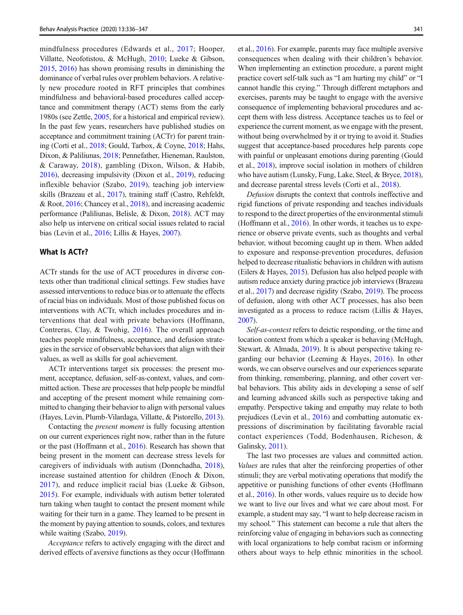mindfulness procedures (Edwards et al., [2017;](#page-9-0) Hooper, Villatte, Neofotistou, & McHugh, [2010;](#page-10-0) Lueke & Gibson, [2015,](#page-10-0) [2016\)](#page-10-0) has shown promising results in diminishing the dominance of verbal rules over problem behaviors. A relatively new procedure rooted in RFT principles that combines mindfulness and behavioral-based procedures called acceptance and commitment therapy (ACT) stems from the early 1980s (see Zettle, [2005,](#page-11-0) for a historical and empirical review). In the past few years, researchers have published studies on acceptance and commitment training (ACTr) for parent training (Corti et al., [2018;](#page-9-0) Gould, Tarbox, & Coyne, [2018;](#page-10-0) Hahs, Dixon, & Paliliunas, [2018](#page-10-0); Pennefather, Hieneman, Raulston, & Caraway, [2018\)](#page-10-0), gambling (Dixon, Wilson, & Habib, [2016\)](#page-9-0), decreasing impulsivity (Dixon et al., [2019](#page-9-0)), reducing inflexible behavior (Szabo, [2019\)](#page-11-0), teaching job interview skills (Brazeau et al., [2017](#page-9-0)), training staff (Castro, Rehfeldt, & Root, [2016;](#page-9-0) Chancey et al., [2018](#page-9-0)), and increasing academic performance (Paliliunas, Belisle, & Dixon, [2018](#page-10-0)). ACT may also help us intervene on critical social issues related to racial bias (Levin et al., [2016](#page-10-0); Lillis & Hayes, [2007](#page-10-0)).

#### What Is ACTr?

ACTr stands for the use of ACT procedures in diverse contexts other than traditional clinical settings. Few studies have assessed interventions to reduce bias or to attenuate the effects of racial bias on individuals. Most of those published focus on interventions with ACTr, which includes procedures and interventions that deal with private behaviors (Hoffmann, Contreras, Clay, & Twohig, [2016\)](#page-10-0). The overall approach teaches people mindfulness, acceptance, and defusion strategies in the service of observable behaviors that align with their values, as well as skills for goal achievement.

ACTr interventions target six processes: the present moment, acceptance, defusion, self-as-context, values, and committed action. These are processes that help people be mindful and accepting of the present moment while remaining committed to changing their behavior to align with personal values (Hayes, Levin, Plumb-Vilardaga, Villatte, & Pistorello, [2013\)](#page-10-0).

Contacting the present moment is fully focusing attention on our current experiences right now, rather than in the future or the past (Hoffmann et al., [2016](#page-10-0)). Research has shown that being present in the moment can decrease stress levels for caregivers of individuals with autism (Donnchadha, [2018](#page-9-0)), increase sustained attention for children (Enoch & Dixon, [2017](#page-9-0)), and reduce implicit racial bias (Lueke & Gibson, [2015\)](#page-10-0). For example, individuals with autism better tolerated turn taking when taught to contact the present moment while waiting for their turn in a game. They learned to be present in the moment by paying attention to sounds, colors, and textures while waiting (Szabo, [2019](#page-11-0)).

Acceptance refers to actively engaging with the direct and derived effects of aversive functions as they occur (Hoffmann et al., [2016\)](#page-10-0). For example, parents may face multiple aversive consequences when dealing with their children's behavior. When implementing an extinction procedure, a parent might practice covert self-talk such as "I am hurting my child" or "I cannot handle this crying." Through different metaphors and exercises, parents may be taught to engage with the aversive consequence of implementing behavioral procedures and accept them with less distress. Acceptance teaches us to feel or experience the current moment, as we engage with the present, without being overwhelmed by it or trying to avoid it. Studies suggest that acceptance-based procedures help parents cope with painful or unpleasant emotions during parenting (Gould et al., [2018\)](#page-10-0), improve social isolation in mothers of children who have autism (Lunsky, Fung, Lake, Steel, & Bryce, [2018\)](#page-10-0), and decrease parental stress levels (Corti et al., [2018](#page-9-0)).

Defusion disrupts the context that controls ineffective and rigid functions of private responding and teaches individuals to respond to the direct properties of the environmental stimuli (Hoffmann et al., [2016](#page-10-0)). In other words, it teaches us to experience or observe private events, such as thoughts and verbal behavior, without becoming caught up in them. When added to exposure and response-prevention procedures, defusion helped to decrease ritualistic behaviors in children with autism (Eilers & Hayes, [2015](#page-9-0)). Defusion has also helped people with autism reduce anxiety during practice job interviews (Brazeau et al., [2017](#page-9-0)) and decrease rigidity (Szabo, [2019](#page-11-0)). The process of defusion, along with other ACT processes, has also been investigated as a process to reduce racism (Lillis & Hayes, [2007\)](#page-10-0).

Self-as-context refers to deictic responding, or the time and location context from which a speaker is behaving (McHugh, Stewart, & Almada, [2019\)](#page-10-0). It is about perspective taking regarding our behavior (Leeming & Hayes, [2016](#page-10-0)). In other words, we can observe ourselves and our experiences separate from thinking, remembering, planning, and other covert verbal behaviors. This ability aids in developing a sense of self and learning advanced skills such as perspective taking and empathy. Perspective taking and empathy may relate to both prejudices (Levin et al., [2016](#page-10-0)) and combatting automatic expressions of discrimination by facilitating favorable racial contact experiences (Todd, Bodenhausen, Richeson, & Galinsky, [2011\)](#page-11-0).

The last two processes are values and committed action. Values are rules that alter the reinforcing properties of other stimuli; they are verbal motivating operations that modify the appetitive or punishing functions of other events (Hoffmann et al., [2016\)](#page-10-0). In other words, values require us to decide how we want to live our lives and what we care about most. For example, a student may say, "I want to help decrease racism in my school." This statement can become a rule that alters the reinforcing value of engaging in behaviors such as connecting with local organizations to help combat racism or informing others about ways to help ethnic minorities in the school.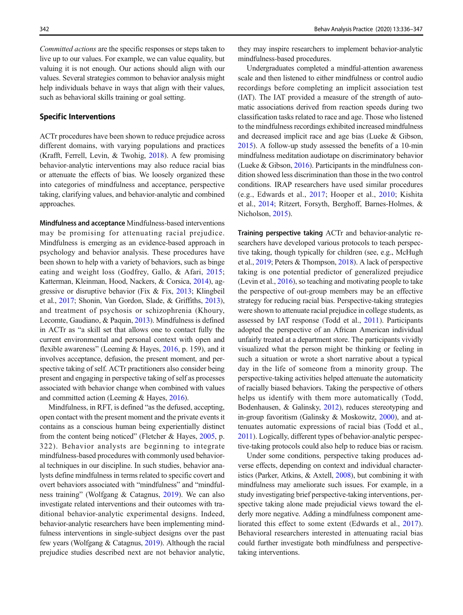Committed actions are the specific responses or steps taken to live up to our values. For example, we can value equality, but valuing it is not enough. Our actions should align with our values. Several strategies common to behavior analysis might help individuals behave in ways that align with their values, such as behavioral skills training or goal setting.

#### Specific Interventions

ACTr procedures have been shown to reduce prejudice across different domains, with varying populations and practices (Krafft, Ferrell, Levin, & Twohig, [2018](#page-10-0)). A few promising behavior-analytic interventions may also reduce racial bias or attenuate the effects of bias. We loosely organized these into categories of mindfulness and acceptance, perspective taking, clarifying values, and behavior-analytic and combined approaches.

Mindfulness and acceptance Mindfulness-based interventions may be promising for attenuating racial prejudice. Mindfulness is emerging as an evidence-based approach in psychology and behavior analysis. These procedures have been shown to help with a variety of behaviors, such as binge eating and weight loss (Godfrey, Gallo, & Afari, [2015](#page-10-0); Katterman, Kleinman, Hood, Nackers, & Corsica, [2014](#page-10-0)), aggressive or disruptive behavior (Fix & Fix, [2013](#page-10-0); Klingbeil et al., [2017](#page-10-0); Shonin, Van Gordon, Slade, & Griffiths, [2013\)](#page-11-0), and treatment of psychosis or schizophrenia (Khoury, Lecomte, Gaudiano, & Paquin, [2013](#page-10-0)). Mindfulness is defined in ACTr as "a skill set that allows one to contact fully the current environmental and personal context with open and flexible awareness" (Leeming & Hayes, [2016](#page-10-0), p. 159), and it involves acceptance, defusion, the present moment, and perspective taking of self. ACTr practitioners also consider being present and engaging in perspective taking of self as processes associated with behavior change when combined with values and committed action (Leeming & Hayes, [2016](#page-10-0)).

Mindfulness, in RFT, is defined "as the defused, accepting, open contact with the present moment and the private events it contains as a conscious human being experientially distinct from the content being noticed" (Fletcher & Hayes, [2005](#page-10-0), p. 322). Behavior analysts are beginning to integrate mindfulness-based procedures with commonly used behavioral techniques in our discipline. In such studies, behavior analysts define mindfulness in terms related to specific covert and overt behaviors associated with "mindfulness" and "mindfulness training" (Wolfgang & Catagnus, [2019\)](#page-11-0). We can also investigate related interventions and their outcomes with traditional behavior-analytic experimental designs. Indeed, behavior-analytic researchers have been implementing mindfulness interventions in single-subject designs over the past few years (Wolfgang & Catagnus, [2019\)](#page-11-0). Although the racial prejudice studies described next are not behavior analytic,

they may inspire researchers to implement behavior-analytic mindfulness-based procedures.

Undergraduates completed a mindful-attention awareness scale and then listened to either mindfulness or control audio recordings before completing an implicit association test (IAT). The IAT provided a measure of the strength of automatic associations derived from reaction speeds during two classification tasks related to race and age. Those who listened to the mindfulness recordings exhibited increased mindfulness and decreased implicit race and age bias (Lueke & Gibson, [2015\)](#page-10-0). A follow-up study assessed the benefits of a 10-min mindfulness meditation audiotape on discriminatory behavior (Lueke & Gibson, [2016](#page-10-0)). Participants in the mindfulness condition showed less discrimination than those in the two control conditions. IRAP researchers have used similar procedures (e.g., Edwards et al., [2017;](#page-9-0) Hooper et al., [2010](#page-10-0); Kishita et al., [2014](#page-10-0); Ritzert, Forsyth, Berghoff, Barnes-Holmes, & Nicholson, [2015\)](#page-11-0).

Training perspective taking ACTr and behavior-analytic researchers have developed various protocols to teach perspective taking, though typically for children (see, e.g., McHugh et al., [2019;](#page-10-0) Peters & Thompson, [2018\)](#page-11-0). A lack of perspective taking is one potential predictor of generalized prejudice (Levin et al., [2016\)](#page-10-0), so teaching and motivating people to take the perspective of out-group members may be an effective strategy for reducing racial bias. Perspective-taking strategies were shown to attenuate racial prejudice in college students, as assessed by IAT response (Todd et al., [2011](#page-11-0)). Participants adopted the perspective of an African American individual unfairly treated at a department store. The participants vividly visualized what the person might be thinking or feeling in such a situation or wrote a short narrative about a typical day in the life of someone from a minority group. The perspective-taking activities helped attenuate the automaticity of racially biased behaviors. Taking the perspective of others helps us identify with them more automatically (Todd, Bodenhausen, & Galinsky, [2012](#page-11-0)), reduces stereotyping and in-group favoritism (Galinsky & Moskowitz, [2000\)](#page-10-0), and attenuates automatic expressions of racial bias (Todd et al., [2011](#page-11-0)). Logically, different types of behavior-analytic perspective-taking protocols could also help to reduce bias or racism.

Under some conditions, perspective taking produces adverse effects, depending on context and individual characteristics (Parker, Atkins, & Axtell, [2008](#page-10-0)), but combining it with mindfulness may ameliorate such issues. For example, in a study investigating brief perspective-taking interventions, perspective taking alone made prejudicial views toward the elderly more negative. Adding a mindfulness component ameliorated this effect to some extent (Edwards et al., [2017](#page-9-0)). Behavioral researchers interested in attenuating racial bias could further investigate both mindfulness and perspectivetaking interventions.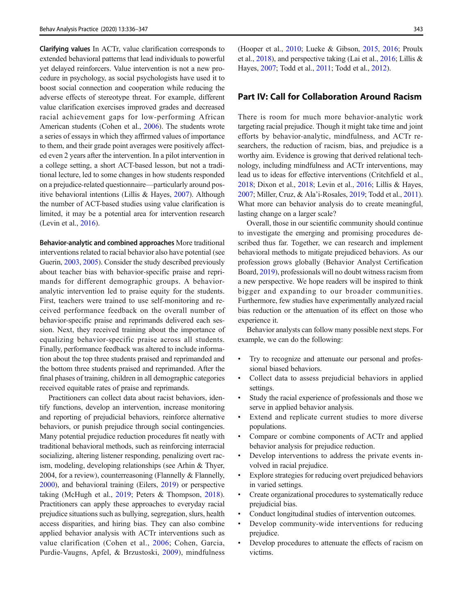Clarifying values In ACTr, value clarification corresponds to extended behavioral patterns that lead individuals to powerful yet delayed reinforcers. Value intervention is not a new procedure in psychology, as social psychologists have used it to boost social connection and cooperation while reducing the adverse effects of stereotype threat. For example, different value clarification exercises improved grades and decreased racial achievement gaps for low-performing African American students (Cohen et al., [2006\)](#page-9-0). The students wrote a series of essays in which they affirmed values of importance to them, and their grade point averages were positively affected even 2 years after the intervention. In a pilot intervention in a college setting, a short ACT-based lesson, but not a traditional lecture, led to some changes in how students responded on a prejudice-related questionnaire—particularly around positive behavioral intentions (Lillis & Hayes, [2007](#page-10-0)). Although the number of ACT-based studies using value clarification is limited, it may be a potential area for intervention research (Levin et al., [2016\)](#page-10-0).

Behavior-analytic and combined approaches More traditional interventions related to racial behavior also have potential (see Guerin, [2003](#page-10-0), [2005](#page-10-0)). Consider the study described previously about teacher bias with behavior-specific praise and reprimands for different demographic groups. A behavioranalytic intervention led to praise equity for the students. First, teachers were trained to use self-monitoring and received performance feedback on the overall number of behavior-specific praise and reprimands delivered each session. Next, they received training about the importance of equalizing behavior-specific praise across all students. Finally, performance feedback was altered to include information about the top three students praised and reprimanded and the bottom three students praised and reprimanded. After the final phases of training, children in all demographic categories received equitable rates of praise and reprimands.

Practitioners can collect data about racist behaviors, identify functions, develop an intervention, increase monitoring and reporting of prejudicial behaviors, reinforce alternative behaviors, or punish prejudice through social contingencies. Many potential prejudice reduction procedures fit neatly with traditional behavioral methods, such as reinforcing interracial socializing, altering listener responding, penalizing overt racism, modeling, developing relationships (see Arhin & Thyer, 2004, for a review), counterreasoning (Flannelly & Flannelly, [2000\)](#page-10-0), and behavioral training (Eilers, [2019\)](#page-9-0) or perspective taking (McHugh et al., [2019;](#page-10-0) Peters & Thompson, [2018](#page-11-0)). Practitioners can apply these approaches to everyday racial prejudice situations such as bullying, segregation, slurs, health access disparities, and hiring bias. They can also combine applied behavior analysis with ACTr interventions such as value clarification (Cohen et al., [2006;](#page-9-0) Cohen, Garcia, Purdie-Vaugns, Apfel, & Brzustoski, [2009\)](#page-9-0), mindfulness (Hooper et al., [2010](#page-10-0); Lueke & Gibson, [2015](#page-10-0), [2016](#page-10-0); Proulx et al., [2018](#page-11-0)), and perspective taking (Lai et al., [2016;](#page-10-0) Lillis & Hayes, [2007](#page-10-0); Todd et al., [2011](#page-11-0); Todd et al., [2012\)](#page-11-0).

# Part IV: Call for Collaboration Around Racism

There is room for much more behavior-analytic work targeting racial prejudice. Though it might take time and joint efforts by behavior-analytic, mindfulness, and ACTr researchers, the reduction of racism, bias, and prejudice is a worthy aim. Evidence is growing that derived relational technology, including mindfulness and ACTr interventions, may lead us to ideas for effective interventions (Critchfield et al., [2018;](#page-9-0) Dixon et al., [2018;](#page-9-0) Levin et al., [2016](#page-10-0); Lillis & Hayes, [2007;](#page-10-0) Miller, Cruz, & Ala'i-Rosales, [2019](#page-10-0); Todd et al., [2011\)](#page-11-0). What more can behavior analysis do to create meaningful, lasting change on a larger scale?

Overall, those in our scientific community should continue to investigate the emerging and promising procedures described thus far. Together, we can research and implement behavioral methods to mitigate prejudiced behaviors. As our profession grows globally (Behavior Analyst Certification Board, [2019\)](#page-9-0), professionals will no doubt witness racism from a new perspective. We hope readers will be inspired to think bigger and expanding to our broader communities. Furthermore, few studies have experimentally analyzed racial bias reduction or the attenuation of its effect on those who experience it.

Behavior analysts can follow many possible next steps. For example, we can do the following:

- Try to recognize and attenuate our personal and professional biased behaviors.
- Collect data to assess prejudicial behaviors in applied settings.
- Study the racial experience of professionals and those we serve in applied behavior analysis.
- Extend and replicate current studies to more diverse populations.
- Compare or combine components of ACTr and applied behavior analysis for prejudice reduction.
- & Develop interventions to address the private events involved in racial prejudice.
- & Explore strategies for reducing overt prejudiced behaviors in varied settings.
- & Create organizational procedures to systematically reduce prejudicial bias.
- & Conduct longitudinal studies of intervention outcomes.
- & Develop community-wide interventions for reducing prejudice.
- Develop procedures to attenuate the effects of racism on victims.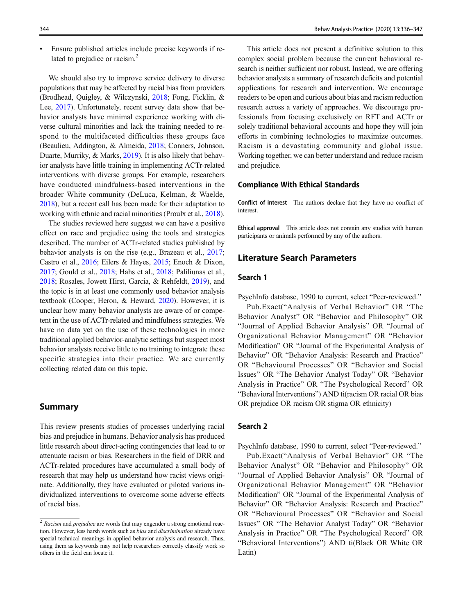& Ensure published articles include precise keywords if related to prejudice or racism.<sup>2</sup>

We should also try to improve service delivery to diverse populations that may be affected by racial bias from providers (Brodhead, Quigley, & Wilczynski, [2018;](#page-9-0) Fong, Ficklin, & Lee, [2017\)](#page-10-0). Unfortunately, recent survey data show that behavior analysts have minimal experience working with diverse cultural minorities and lack the training needed to respond to the multifaceted difficulties these groups face (Beaulieu, Addington, & Almeida, [2018;](#page-9-0) Conners, Johnson, Duarte, Murriky, & Marks, [2019](#page-9-0)). It is also likely that behavior analysts have little training in implementing ACTr-related interventions with diverse groups. For example, researchers have conducted mindfulness-based interventions in the broader White community (DeLuca, Kelman, & Waelde, [2018\)](#page-9-0), but a recent call has been made for their adaptation to working with ethnic and racial minorities (Proulx et al., [2018\)](#page-11-0).

The studies reviewed here suggest we can have a positive effect on race and prejudice using the tools and strategies described. The number of ACTr-related studies published by behavior analysts is on the rise (e.g., Brazeau et al., [2017](#page-9-0); Castro et al., [2016;](#page-9-0) Eilers & Hayes, [2015;](#page-9-0) Enoch & Dixon, [2017;](#page-9-0) Gould et al., [2018;](#page-10-0) Hahs et al., [2018;](#page-10-0) Paliliunas et al., [2018;](#page-10-0) Rosales, Jowett Hirst, Garcia, & Rehfeldt, [2019](#page-11-0)), and the topic is in at least one commonly used behavior analysis textbook (Cooper, Heron, & Heward, [2020\)](#page-9-0). However, it is unclear how many behavior analysts are aware of or competent in the use of ACTr-related and mindfulness strategies. We have no data yet on the use of these technologies in more traditional applied behavior-analytic settings but suspect most behavior analysts receive little to no training to integrate these specific strategies into their practice. We are currently collecting related data on this topic.

# Summary

This review presents studies of processes underlying racial bias and prejudice in humans. Behavior analysis has produced little research about direct-acting contingencies that lead to or attenuate racism or bias. Researchers in the field of DRR and ACTr-related procedures have accumulated a small body of research that may help us understand how racist views originate. Additionally, they have evaluated or piloted various individualized interventions to overcome some adverse effects of racial bias.

This article does not present a definitive solution to this complex social problem because the current behavioral research is neither sufficient nor robust. Instead, we are offering behavior analysts a summary of research deficits and potential applications for research and intervention. We encourage readers to be open and curious about bias and racism reduction research across a variety of approaches. We discourage professionals from focusing exclusively on RFT and ACTr or solely traditional behavioral accounts and hope they will join efforts in combining technologies to maximize outcomes. Racism is a devastating community and global issue. Working together, we can better understand and reduce racism and prejudice.

#### Compliance With Ethical Standards

Conflict of interest The authors declare that they have no conflict of interest.

Ethical approval This article does not contain any studies with human participants or animals performed by any of the authors.

# Literature Search Parameters

# Search 1

PsychInfo database, 1990 to current, select "Peer-reviewed."

Pub.Exact("Analysis of Verbal Behavior" OR "The Behavior Analyst" OR "Behavior and Philosophy" OR "Journal of Applied Behavior Analysis" OR "Journal of Organizational Behavior Management" OR "Behavior Modification" OR "Journal of the Experimental Analysis of Behavior" OR "Behavior Analysis: Research and Practice" OR "Behavioural Processes" OR "Behavior and Social Issues" OR "The Behavior Analyst Today" OR "Behavior Analysis in Practice" OR "The Psychological Record" OR "Behavioral Interventions") AND ti(racism OR racial OR bias OR prejudice OR racism OR stigma OR ethnicity)

## Search 2

PsychInfo database, 1990 to current, select "Peer-reviewed."

Pub.Exact("Analysis of Verbal Behavior" OR "The Behavior Analyst" OR "Behavior and Philosophy" OR "Journal of Applied Behavior Analysis" OR "Journal of Organizational Behavior Management" OR "Behavior Modification" OR "Journal of the Experimental Analysis of Behavior" OR "Behavior Analysis: Research and Practice" OR "Behavioural Processes" OR "Behavior and Social Issues" OR "The Behavior Analyst Today" OR "Behavior Analysis in Practice" OR "The Psychological Record" OR "Behavioral Interventions") AND ti(Black OR White OR Latin)

 $2$  Racism and *prejudice* are words that may engender a strong emotional reaction. However, less harsh words such as bias and discrimination already have special technical meanings in applied behavior analysis and research. Thus, using them as keywords may not help researchers correctly classify work so others in the field can locate it.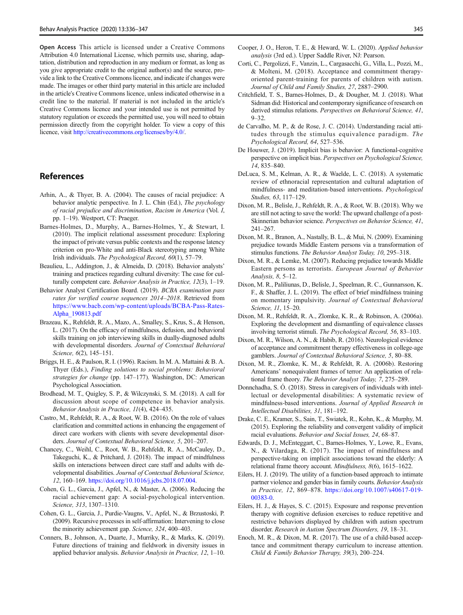<span id="page-9-0"></span>Open Access This article is licensed under a Creative Commons Attribution 4.0 International License, which permits use, sharing, adaptation, distribution and reproduction in any medium or format, as long as you give appropriate credit to the original author(s) and the source, provide a link to the Creative Commons licence, and indicate if changes were made. The images or other third party material in this article are included in the article's Creative Commons licence, unless indicated otherwise in a credit line to the material. If material is not included in the article's Creative Commons licence and your intended use is not permitted by statutory regulation or exceeds the permitted use, you will need to obtain permission directly from the copyright holder. To view a copy of this licence, visit <http://creativecommons.org/licenses/by/4.0/>.

# References

- Arhin, A., & Thyer, B. A. (2004). The causes of racial prejudice: A behavior analytic perspective. In J. L. Chin (Ed.), The psychology of racial prejudice and discrimination, Racism in America (Vol. I, pp. 1–19). Westport, CT: Praeger.
- Barnes-Holmes, D., Murphy, A., Barnes-Holmes, Y., & Stewart, I. (2010). The implicit relational assessment procedure: Exploring the impact of private versus public contexts and the response latency criterion on pro-White and anti-Black stereotyping among White Irish individuals. The Psychological Record, 60(1), 57–79.
- Beaulieu, L., Addington, J., & Almeida, D. (2018). Behavior analysts' training and practices regarding cultural diversity: The case for culturally competent care. Behavior Analysis in Practice, 12(3), 1–19.
- Behavior Analyst Certification Board. (2019). BCBA examination pass rates for verified course sequences 2014–2018. Retrieved from [https://www.bacb.com/wp-content/uploads/BCBA-Pass-Rates-](http://creativecommons.org/licenses/by/4.0/)[Alpha\\_190813.pdf](http://creativecommons.org/licenses/by/4.0/)
- Brazeau, K., Rehfeldt, R. A., Mazo, A., Smalley, S., Krus, S., & Henson, L. (2017). On the efficacy of mindfulness, defusion, and behavioral skills training on job interviewing skills in dually-diagnosed adults with developmental disorders. Journal of Contextual Behavioral Science, 6(2), 145–151.
- Briggs, H. E., & Paulson, R. I. (1996). Racism. In M. A. Mattaini & B. A. Thyer (Eds.), Finding solutions to social problems: Behavioral strategies for change (pp. 147–177). Washington, DC: American Psychological Association.
- Brodhead, M. T., Quigley, S. P., & Wilczynski, S. M. (2018). A call for discussion about scope of competence in behavior analysis. Behavior Analysis in Practice, 11(4), 424–435.
- Castro, M., Rehfeldt, R. A., & Root, W. B. (2016). On the role of values clarification and committed actions in enhancing the engagement of direct care workers with clients with severe developmental disorders. Journal of Contextual Behavioral Science, 5, 201–207.
- Chancey, C., Weihl, C., Root, W. B., Rehfeldt, R. A., McCauley, D., Takeguchi, K., & Pritchard, J. (2018). The impact of mindfulness skills on interactions between direct care staff and adults with developmental disabilities. Journal of Contextual Behavioral Science, 12, 160–169. <https://doi.org/10.1016/j.jcbs.2018.07.004>.
- Cohen, G. L., Garcia, J., Apfel, N., & Master, A. (2006). Reducing the racial achievement gap: A social-psychological intervention. Science, 313, 1307–1310.
- Cohen, G. L., Garcia, J., Purdie-Vaugns, V., Apfel, N., & Brzustoski, P. (2009). Recursive processes in self-affirmation: Intervening to close the minority achievement gap. Science, 324, 400–403.
- Conners, B., Johnson, A., Duarte, J., Murriky, R., & Marks, K. (2019). Future directions of training and fieldwork in diversity issues in applied behavior analysis. Behavior Analysis in Practice, 12, 1–10.
- Cooper, J. O., Heron, T. E., & Heward, W. L. (2020). Applied behavior analysis (3rd ed.). Upper Saddle River, NJ: Pearson.
- Corti, C., Pergolizzi, F., Vanzin, L., Cargasacchi, G., Villa, L., Pozzi, M., & Molteni, M. (2018). Acceptance and commitment therapyoriented parent-training for parents of children with autism. Journal of Child and Family Studies, 27, 2887–2900.
- Critchfield, T. S., Barnes-Holmes, D., & Dougher, M. J. (2018). What Sidman did: Historical and contemporary significance of research on derived stimulus relations. Perspectives on Behavioral Science, 41, 9–32.
- de Carvalho, M. P., & de Rose, J. C. (2014). Understanding racial attitudes through the stimulus equivalence paradigm. The Psychological Record, 64, 527–536.
- De Houwer, J. (2019). Implicit bias is behavior: A functional-cognitive perspective on implicit bias. Perspectives on Psychological Science, 14, 835–840.
- DeLuca, S. M., Kelman, A. R., & Waelde, L. C. (2018). A systematic review of ethnoracial representation and cultural adaptation of mindfulness- and meditation-based interventions. Psychological Studies, 63, 117–129.
- Dixon, M. R., Belisle, J., Rehfeldt, R. A., & Root, W. B. (2018). Why we are still not acting to save the world: The upward challenge of a post-Skinnerian behavior science. Perspectives on Behavior Science, 41, 241–267.
- Dixon, M. R., Branon, A., Nastally, B. L., & Mui, N. (2009). Examining prejudice towards Middle Eastern persons via a transformation of stimulus functions. The Behavior Analyst Today, 10, 295–318.
- Dixon, M. R., & Lemke, M. (2007). Reducing prejudice towards Middle Eastern persons as terrorists. European Journal of Behavior Analysis, 8, 5–12.
- Dixon, M. R., Paliliunas, D., Belisle, J., Speelman, R. C., Gunnarsson, K. F., & Shaffer, J. L. (2019). The effect of brief mindfulness training on momentary impulsivity. Journal of Contextual Behavioral Science, 11, 15–20.
- Dixon, M. R., Rehfeldt, R. A., Zlomke, K. R., & Robinson, A. (2006a). Exploring the development and dismantling of equivalence classes involving terrorist stimuli. The Psychological Record, 56, 83–103.
- Dixon, M. R., Wilson, A. N., & Habib, R. (2016). Neurological evidence of acceptance and commitment therapy effectiveness in college-age gamblers. Journal of Contextual Behavioral Science, 5, 80–88.
- Dixon, M. R., Zlomke, K. M., & Rehfeldt, R. A. (2006b). Restoring Americans' nonequivalent frames of terror: An application of relational frame theory. The Behavior Analyst Today, 7, 275–289.
- Donnchadha, S. Ó. (2018). Stress in caregivers of individuals with intellectual or developmental disabilities: A systematic review of mindfulness-based interventions. Journal of Applied Research in Intellectual Disabilities, 31, 181–192.
- Drake, C. E., Kramer, S., Sain, T., Swiatek, R., Kohn, K., & Murphy, M. (2015). Exploring the reliability and convergent validity of implicit racial evaluations. Behavior and Social Issues, 24, 68–87.
- Edwards, D. J., McEnteggart, C., Barnes-Holmes, Y., Lowe, R., Evans, N., & Vilardaga, R. (2017). The impact of mindfulness and perspective-taking on implicit associations toward the elderly: A relational frame theory account. Mindfulness, 8(6), 1615–1622.
- Eilers, H. J. (2019). The utility of a function-based approach to intimate partner violence and gender bias in family courts. Behavior Analysis in Practice, 12, 869–878. [https://doi.org/10.1007/s40617-019-](https://doi.org/10.1007/s40617-019-00383-0) [00383-0.](https://doi.org/10.1007/s40617-019-00383-0)
- Eilers, H. J., & Hayes, S. C. (2015). Exposure and response prevention therapy with cognitive defusion exercises to reduce repetitive and restrictive behaviors displayed by children with autism spectrum disorder. Research in Autism Spectrum Disorders, 19, 18–31.
- Enoch, M. R., & Dixon, M. R. (2017). The use of a child-based acceptance and commitment therapy curriculum to increase attention. Child & Family Behavior Therapy, 39(3), 200–224.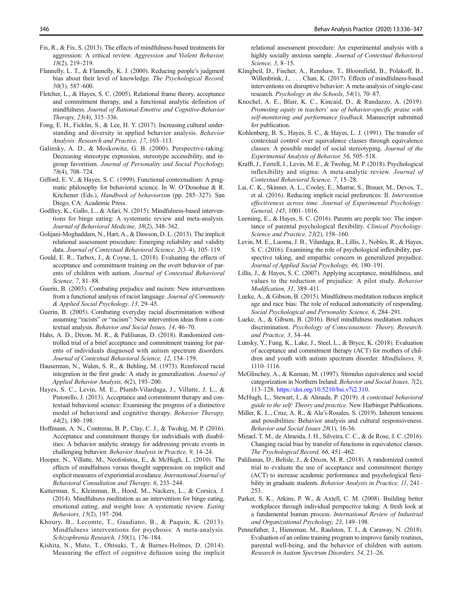- <span id="page-10-0"></span>Fix, R., & Fix, S. (2013). The effects of mindfulness-based treatments for aggression: A critical review. Aggression and Violent Behavior, 18(2), 219–219.
- Flannelly, L. T., & Flannelly, K. J. (2000). Reducing people's judgment bias about their level of knowledge. The Psychological Record, 50(3), 587–600.
- Fletcher, L., & Hayes, S. C. (2005). Relational frame theory, acceptance and commitment therapy, and a functional analytic definition of mindfulness. Journal of Rational-Emotive and Cognitive-Behavior Therapy, 23(4), 315–336.
- Fong, E. H., Ficklin, S., & Lee, H. Y. (2017). Increasing cultural understanding and diversity in applied behavior analysis. Behavior Analysis: Research and Practice, 17, 103–113.
- Galinsky, A. D., & Moskowitz, G. B. (2000). Perspective-taking: Decreasing stereotype expression, stereotype accessibility, and ingroup favoritism. Journal of Personality and Social Psychology, 78(4), 708–724.
- Gifford, E. V., & Hayes, S. C. (1999). Functional contextualism: A pragmatic philosophy for behavioral science. In W. O'Donohue & R. Kitchener (Eds.), Handbook of behaviorism (pp. 285–327). San Diego, CA: Academic Press.
- Godfrey, K., Gallo, L., & Afari, N. (2015). Mindfulness-based interventions for binge eating: A systematic review and meta-analysis. Journal of Behavioral Medicine, 38(2), 348–362.
- Golijani-Moghaddam, N., Hart, A., & Dawson, D. L. (2013). The implicit relational assessment procedure: Emerging reliability and validity data. Journal of Contextual Behavioral Science, 2(3–4), 105–119.
- Gould, E. R., Tarbox, J., & Coyne, L. (2018). Evaluating the effects of acceptance and commitment training on the overt behavior of parents of children with autism. Journal of Contextual Behavioral Science, 7, 81–88.
- Guerin, B. (2003). Combating prejudice and racism: New interventions from a functional analysis of racist language. Journal of Community & Applied Social Psychology, 13, 29–45.
- Guerin, B. (2005). Combating everyday racial discrimination without assuming "racists" or "racism": New intervention ideas from a contextual analysis. Behavior and Social Issues, 14, 46–70.
- Hahs, A. D., Dixon, M. R., & Paliliunas, D. (2018). Randomized controlled trial of a brief acceptance and commitment training for parents of individuals diagnosed with autism spectrum disorders. Journal of Contextual Behavioral Science, 12, 154–159.
- Hauserman, N., Walen, S. R., & Behling, M. (1973). Reinforced racial integration in the first grade: A study in generalization. Journal of Applied Behavior Analysis, 6(2), 193–200.
- Hayes, S. C., Levin, M. E., Plumb-Vilardaga, J., Villatte, J. L., & Pistorello, J. (2013). Acceptance and commitment therapy and contextual behavioral science: Examining the progress of a distinctive model of behavioral and cognitive therapy. Behavior Therapy, 44(2), 180–198.
- Hoffmann, A. N., Contreras, B. P., Clay, C. J., & Twohig, M. P. (2016). Acceptance and commitment therapy for individuals with disabilities: A behavior analytic strategy for addressing private events in challenging behavior. Behavior Analysis in Practice, 9, 14–24.
- Hooper, N., Villatte, M., Neofotistou, E., & McHugh, L. (2010). The effects of mindfulness versus thought suppression on implicit and explicit measures of experiential avoidance. International Journal of Behavioral Consultation and Therapy, 6, 233–244.
- Katterman, S., Kleinman, B., Hood, M., Nackers, L., & Corsica, J. (2014). Mindfulness meditation as an intervention for binge eating, emotional eating, and weight loss: A systematic review. Eating Behaviors, 15(2), 197–204.
- Khoury, B., Lecomte, T., Gaudiano, B., & Paquin, K. (2013). Mindfulness interventions for psychosis: A meta-analysis. Schizophrenia Research, 150(1), 176–184.
- Kishita, N., Muto, T., Ohtsuki, T., & Barnes-Holmes, D. (2014). Measuring the effect of cognitive defusion using the implicit

relational assessment procedure: An experimental analysis with a highly socially anxious sample. Journal of Contextual Behavioral Science, 3, 8–15.

- Klingbeil, D., Fischer, A., Renshaw, T., Bloomfield, B., Polakoff, B., Willenbrink, J., . . . Chan, K. (2017). Effects of mindfulness-based interventions on disruptive behavior: A meta-analysis of single-case research. Psychology in the Schools, 54(1), 70–87.
- Knochel, A. E., Blair, K. C., Kincaid, D., & Randazzo, A. (2019). Promoting equity in teachers' use of behavior-specific praise with self-monitoring and performance feedback. Manuscript submitted for publication.
- Kohlenberg, B. S., Hayes, S. C., & Hayes, L. J. (1991). The transfer of contextual control over equivalence classes through equivalence classes: A possible model of social stereotyping. Journal of the Experimental Analysis of Behavior, 56, 505–518.
- Krafft, J., Ferrell, J., Levin, M. E., & Twohig, M. P. (2018). Psychological inflexibility and stigma: A meta-analytic review. Journal of Contextual Behavioral Science, 7, 15–28.
- Lai, C. K., Skinner, A. L., Cooley, E., Murrar, S., Brauer, M., Devos, T., et al. (2016). Reducing implicit racial preferences: II. Intervention effectiveness across time. Journal of Experimental Psychology: General, 145, 1001–1016.
- Leeming, E., & Hayes, S. C. (2016). Parents are people too: The importance of parental psychological flexibility. Clinical Psychology: Science and Practice, 23(2), 158-160.
- Levin, M. E., Luoma, J. B., Vilardaga, R., Lillis, J., Nobles, R., & Hayes, S. C. (2016). Examining the role of psychological inflexibility, perspective taking, and empathic concern in generalized prejudice. Journal of Applied Social Psychology, 46, 180–191.
- Lillis, J., & Hayes, S. C. (2007). Applying acceptance, mindfulness, and values to the reduction of prejudice: A pilot study. Behavior Modification, 31, 389–411.
- Lueke, A., & Gibson, B. (2015). Mindfulness meditation reduces implicit age and race bias: The role of reduced automaticity of responding. Social Psychological and Personality Science, 6, 284–291.
- Lueke, A., & Gibson, B. (2016). Brief mindfulness meditation reduces discrimination. Psychology of Consciousness: Theory, Research, and Practice, 3, 34–44.
- Lunsky, Y., Fung, K., Lake, J., Steel, L., & Bryce, K. (2018). Evaluation of acceptance and commitment therapy (ACT) for mothers of children and youth with autism spectrum disorder. Mindfulness, 9, 1110–1116.
- McGlinchey, A., & Keenan, M. (1997). Stimulus equivalence and social categorization in Northern Ireland. Behavior and Social Issues, 7(2), 113–128. [https://doi.org/10.5210/bsi.v7i2.310.](https://doi.org/10.5210/bsi.v7i2.310)
- McHugh, L., Stewart, I., & Almada, P. (2019). A contextual behavioral guide to the self: Theory and practice. New Harbinger Publications.
- Miller, K. L., Cruz, A. R., & Ala'i-Rosales, S. (2019). Inherent tensions and possibilities: Behavior analysis and cultural responsiveness. Behavior and Social Issues 28(1), 16-36.
- Mizael, T. M., de Almeida, J. H., Silveira, C. C., & de Rose, J. C. (2016). Changing racial bias by transfer of functions in equivalence classes. The Psychological Record, 66, 451–462.
- Paliliunas, D., Belisle, J., & Dixon, M. R. (2018). A randomized control trial to evaluate the use of acceptance and commitment therapy (ACT) to increase academic performance and psychological flexibility in graduate students. Behavior Analysis in Practice, 11, 241-253.
- Parker, S. K., Atkins, P. W., & Axtell, C. M. (2008). Building better workplaces through individual perspective taking: A fresh look at a fundamental human process. International Review of Industrial and Organizational Psychology, 23, 149–198.
- Pennefather, J., Hieneman, M., Raulston, T. J., & Caraway, N. (2018). Evaluation of an online training program to improve family routines, parental well-being, and the behavior of children with autism. Research in Autism Spectrum Disorders, 54, 21–26.